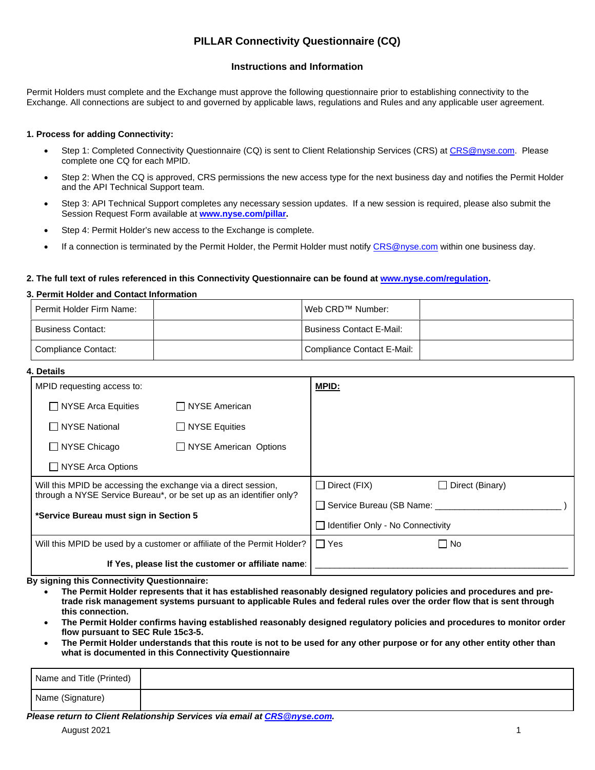# **PILLAR Connectivity Questionnaire (CQ)**

## **Instructions and Information**

Permit Holders must complete and the Exchange must approve the following questionnaire prior to establishing connectivity to the Exchange. All connections are subject to and governed by applicable laws, regulations and Rules and any applicable user agreement.

## **1. Process for adding Connectivity:**

- Step 1: Completed Connectivity Questionnaire (CQ) is sent to Client Relationship Services (CRS) at CRS@nyse.com. Please complete one CQ for each MPID.
- Step 2: When the CQ is approved, CRS permissions the new access type for the next business day and notifies the Permit Holder and the API Technical Support team.
- Step 3: API Technical Support completes any necessary session updates. If a new session is required, please also submit the Session Request Form available at **www.nyse.com/pillar.**
- Step 4: Permit Holder's new access to the Exchange is complete.
- If a connection is terminated by the Permit Holder, the Permit Holder must notify CRS@nyse.com within one business day.

#### **2. The full text of rules referenced in this Connectivity Questionnaire can be found at www.nyse.com/regulation.**

### **3. Permit Holder and Contact Information**

| Permit Holder Firm Name: | I Web CRD™ Number:         |  |
|--------------------------|----------------------------|--|
| <b>Business Contact:</b> | l Business Contact E-Mail: |  |
| Compliance Contact:      | Compliance Contact E-Mail: |  |

| 4. Details                                                                                                                                                                      |                       |                                     |                                 |  |  |
|---------------------------------------------------------------------------------------------------------------------------------------------------------------------------------|-----------------------|-------------------------------------|---------------------------------|--|--|
| MPID requesting access to:                                                                                                                                                      |                       | <b>MPID:</b>                        |                                 |  |  |
| $\Box$ NYSE Arca Equities                                                                                                                                                       | NYSE American         |                                     |                                 |  |  |
| <b>NYSE National</b><br>$\mathbf{L}$                                                                                                                                            | $\Box$ NYSE Equities  |                                     |                                 |  |  |
| NYSE Chicago<br>$\mathbf{L}$                                                                                                                                                    | NYSE American Options |                                     |                                 |  |  |
| □ NYSE Arca Options                                                                                                                                                             |                       |                                     |                                 |  |  |
| Will this MPID be accessing the exchange via a direct session,<br>through a NYSE Service Bureau*, or be set up as an identifier only?<br>*Service Bureau must sign in Section 5 |                       | $\Box$ Direct (FIX)                 | Direct (Binary)<br>$\mathsf{L}$ |  |  |
|                                                                                                                                                                                 |                       | Service Bureau (SB Name: ____       |                                 |  |  |
|                                                                                                                                                                                 |                       | □ Identifier Only - No Connectivity |                                 |  |  |
| Will this MPID be used by a customer or affiliate of the Permit Holder?                                                                                                         |                       | $\Box$ Yes                          | $\Box$ No                       |  |  |
| If Yes, please list the customer or affiliate name:                                                                                                                             |                       |                                     |                                 |  |  |

**By signing this Connectivity Questionnaire:**

- **The Permit Holder represents that it has established reasonably designed regulatory policies and procedures and pretrade risk management systems pursuant to applicable Rules and federal rules over the order flow that is sent through this connection.**
- **The Permit Holder confirms having established reasonably designed regulatory policies and procedures to monitor order flow pursuant to SEC Rule 15c3-5.**
- **The Permit Holder understands that this route is not to be used for any other purpose or for any other entity other than what is documented in this Connectivity Questionnaire**

| Name and Title (Printed) |  |
|--------------------------|--|
| Name (Signature)         |  |

*Please return to Client Relationship Services via email at CRS@nyse.com.*